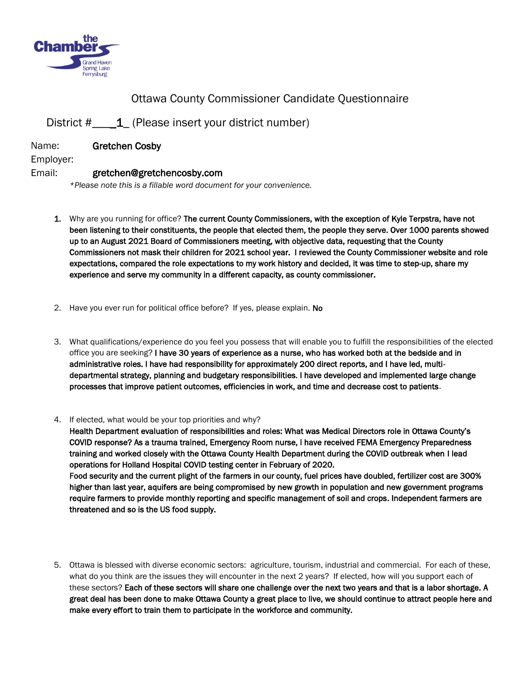

## Ottawa County Commissioner Candidate Questionnaire

## District # \_\_1\_ (Please insert your district number)

Name: Gretchen Cosby

Employer:

## Email: gretchen@gretchencosby.com

*\*Please note this is a fillable word document for your convenience.* 

- 1. Why are you running for office? The current County Commissioners, with the exception of Kyle Terpstra, have not been listening to their constituents, the people that elected them, the people they serve. Over 1000 parents showed up to an August 2021 Board of Commissioners meeting, with objective data, requesting that the County Commissioners not mask their children for 2021 school year. I reviewed the County Commissioner website and role expectations, compared the role expectations to my work history and decided, it was time to step-up, share my experience and serve my community in a different capacity, as county commissioner.
- 2. Have you ever run for political office before? If yes, please explain. No
- 3. What qualifications/experience do you feel you possess that will enable you to fulfill the responsibilities of the elected office you are seeking? I have 30 years of experience as a nurse, who has worked both at the bedside and in administrative roles. I have had responsibility for approximately 200 direct reports, and I have led, multidepartmental strategy, planning and budgetary responsibilities. I have developed and implemented large change processes that improve patient outcomes, efficiencies in work, and time and decrease cost to patients.
- 4. If elected, what would be your top priorities and why?

Health Department evaluation of responsibilities and roles: What was Medical Directors role in Ottawa County's COVID response? As a trauma trained, Emergency Room nurse, I have received FEMA Emergency Preparedness training and worked closely with the Ottawa County Health Department during the COVID outbreak when I lead operations for Holland Hospital COVID testing center in February of 2020. Food security and the current plight of the farmers in our county, fuel prices have doubled, fertilizer cost are 300% higher than last year, aquifers are being compromised by new growth in population and new government programs require farmers to provide monthly reporting and specific management of soil and crops. Independent farmers are threatened and so is the US food supply.

5. Ottawa is blessed with diverse economic sectors: agriculture, tourism, industrial and commercial. For each of these, what do you think are the issues they will encounter in the next 2 years? If elected, how will you support each of these sectors? Each of these sectors will share one challenge over the next two years and that is a labor shortage. A great deal has been done to make Ottawa County a great place to live, we should continue to attract people here and make every effort to train them to participate in the workforce and community.